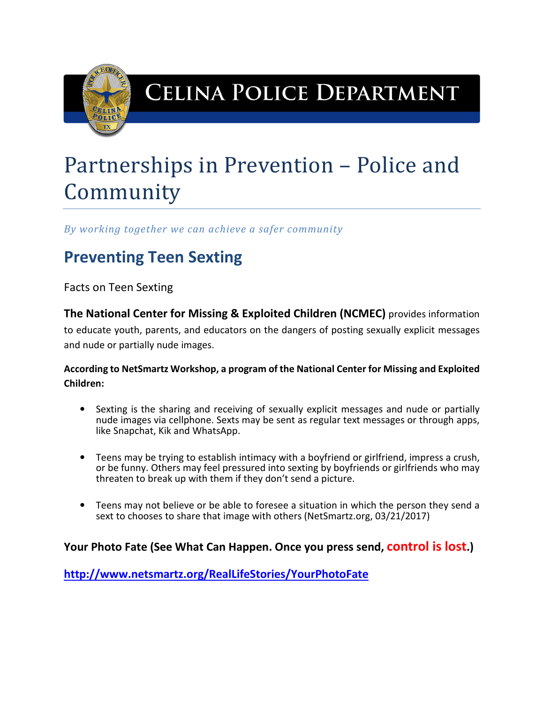

## **CELINA POLICE DEPARTMENT**

# Partnerships in Prevention – Police and Community

*By working together we can achieve a safer community* 

### **Preventing Teen Sexting**

Facts on Teen Sexting

**The National Center for Missing & Exploited Children (NCMEC)** provides information to educate youth, parents, and educators on the dangers of posting sexually explicit messages and nude or partially nude images.

**According to NetSmartz Workshop, a program of the National Center for Missing and Exploited Children:** 

- Sexting is the sharing and receiving of sexually explicit messages and nude or partially nude images via cellphone. Sexts may be sent as regular text messages or through apps, like Snapchat, Kik and WhatsApp.
- Teens may be trying to establish intimacy with a boyfriend or girlfriend, impress a crush, or be funny. Others may feel pressured into sexting by boyfriends or girlfriends who may threaten to break up with them if they don't send a picture.
- Teens may not believe or be able to foresee a situation in which the person they send a sext to chooses to share that image with others (NetSmartz.org, 03/21/2017)

### **Your Photo Fate (See What Can Happen. Once you press send, control is lost.)**

**http://www.netsmartz.org/RealLifeStories/YourPhotoFate**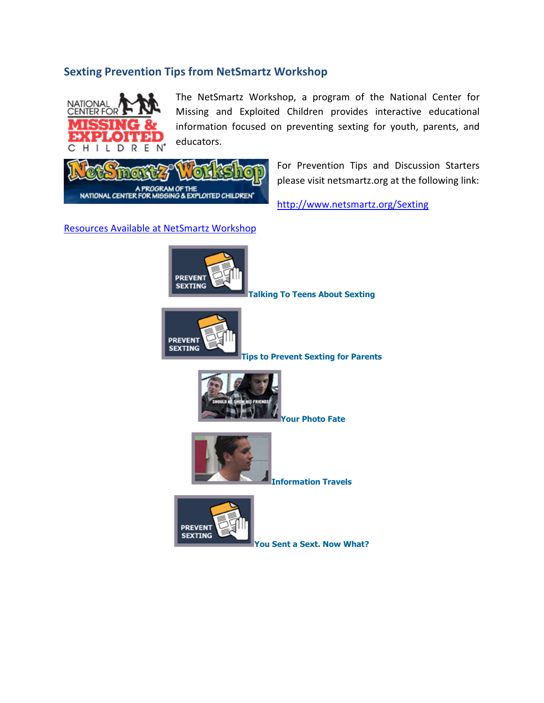#### **Sexting Prevention Tips from NetSmartz Workshop**



The NetSmartz Workshop, a program of the National Center for Missing and Exploited Children provides interactive educational information focused on preventing sexting for youth, parents, and educators.

A PROGRAM OF THE<br>NATIONAL CENTER FOR MISSING & EXPLOITED CHILDREN

For Prevention Tips and Discussion Starters please visit netsmartz.org at the following link:

http://www.netsmartz.org/Sexting

#### Resources Available at NetSmartz Workshop



**Talking To Teens About Sexting** 



**Tips to Prevent Sexting for Parents** 



**Your Photo Fate** 



**Information Travels** 



**You Sent a Sext. Now What?**